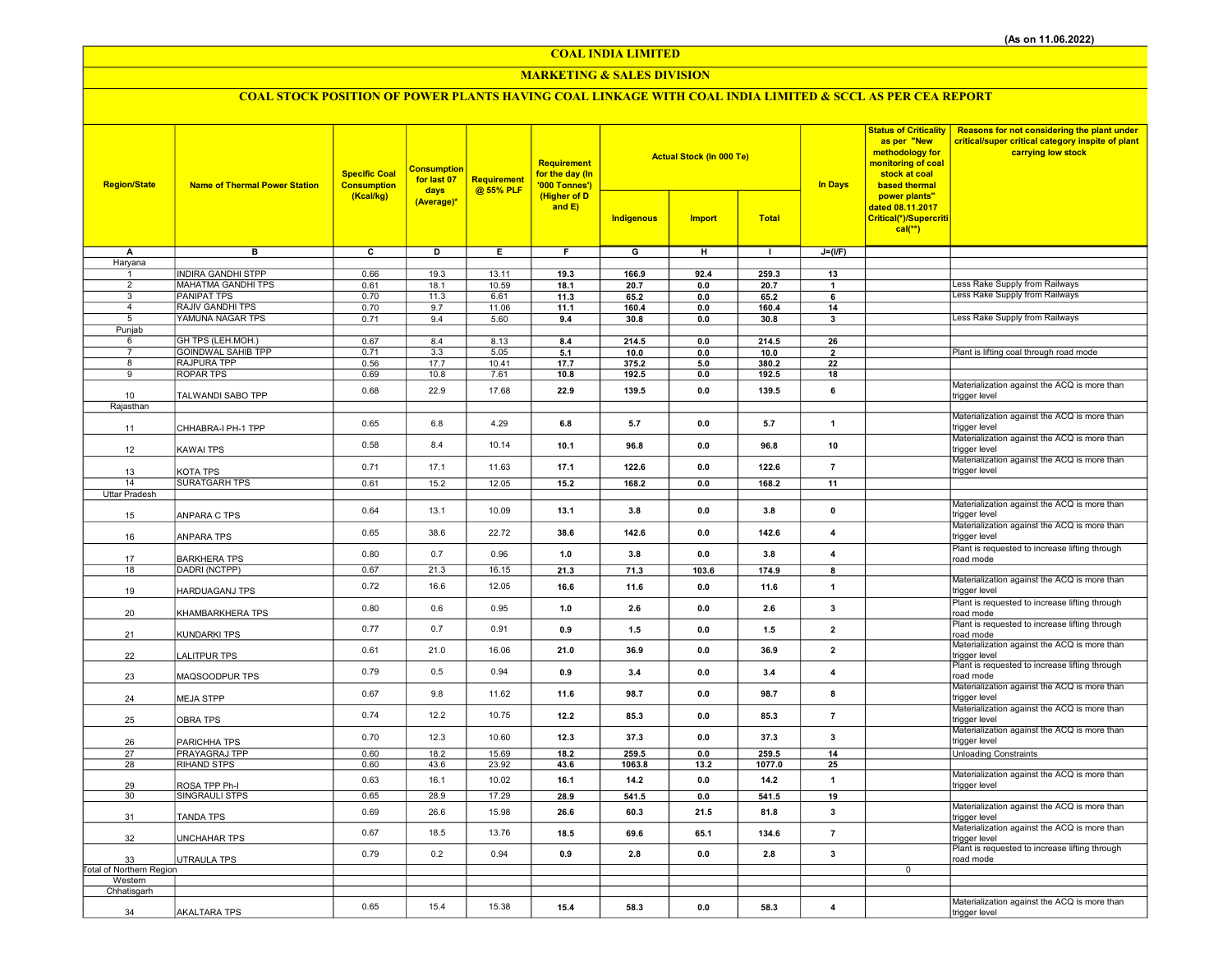COAL INDIA LIMITED

#### MARKETING & SALES DIVISION

## COAL STOCK POSITION OF POWER PLANTS HAVING COAL LINKAGE WITH COAL INDIA LIMITED & SCCL AS PER CEA REPORT

| <b>Region/State</b>      | <b>Name of Thermal Power Station</b> | <b>Specific Coal</b><br><b>Consumption</b><br>(Kcal/kg) | <b>Consumption</b><br>for last 07<br>days<br>(Average)* | Requirement<br>@ 55% PLF | <b>Requirement</b><br>for the day (In<br>'000 Tonnes')<br>(Higher of D<br>and $E$ ) |                         | <b>Actual Stock (In 000 Te)</b> |                 | <b>In Days</b>           | <b>Status of Criticality</b><br>as per "New<br>methodology for<br>monitoring of coal<br>stock at coal<br>based thermal | <b>Reasons for not considering the plant under</b><br>critical/super critical category inspite of plant<br>carrying low stock |
|--------------------------|--------------------------------------|---------------------------------------------------------|---------------------------------------------------------|--------------------------|-------------------------------------------------------------------------------------|-------------------------|---------------------------------|-----------------|--------------------------|------------------------------------------------------------------------------------------------------------------------|-------------------------------------------------------------------------------------------------------------------------------|
|                          |                                      |                                                         |                                                         |                          |                                                                                     | Indigenous              | <b>Import</b>                   | <b>Total</b>    |                          | power plants"<br>dated 08.11.2017<br>Critical(*)/Supercriti<br>$cal(**)$                                               |                                                                                                                               |
| A                        | $\overline{B}$                       | $\overline{\mathbf{c}}$                                 | ъ                                                       | Έ                        | F                                                                                   | $\overline{\mathsf{G}}$ | $\overline{H}$                  | $\mathbf{L}$    | $J=(I/F)$                |                                                                                                                        |                                                                                                                               |
| Haryana<br>$\mathbf{1}$  | <b>INDIRA GANDHI STPP</b>            | 0.66                                                    | 19.3                                                    | 13.11                    | 19.3                                                                                | 166.9                   | 92.4                            | 259.3           | 13                       |                                                                                                                        |                                                                                                                               |
| $\overline{2}$           | MAHATMA GANDHI TPS                   | 0.61                                                    | 18.1                                                    | 10.59                    | 18.1                                                                                | 20.7                    | 0.0                             | 20.7            | $\mathbf{1}$             |                                                                                                                        | ess Rake Supply from Railways                                                                                                 |
| 3                        | <b>PANIPAT TPS</b>                   | 0.70                                                    | 11.3                                                    | 6.61                     | 11.3                                                                                | 65.2                    | 0.0                             | 65.2            | 6                        |                                                                                                                        | Less Rake Supply from Railways                                                                                                |
| $\overline{4}$           | <b>RAJIV GANDHI TPS</b>              | 0.70                                                    | 9.7                                                     | 11.06                    | 11.1                                                                                | 160.4                   | $0.0\,$                         | 160.4           | 14                       |                                                                                                                        |                                                                                                                               |
| 5<br>Punjab              | YAMUNA NAGAR TPS                     | 0.71                                                    | 9.4                                                     | 5.60                     | 9.4                                                                                 | 30.8                    | 0.0                             | 30.8            | 3                        |                                                                                                                        | Less Rake Supply from Railways                                                                                                |
| 6                        | GH TPS (LEH.MOH.)                    | 0.67                                                    | 8.4                                                     | 8.13                     | 8.4                                                                                 | 214.5                   | 0.0                             | 214.5           | 26                       |                                                                                                                        |                                                                                                                               |
| $\overline{7}$           | <b>GOINDWAL SAHIB TPP</b>            | 0.71                                                    | 3.3                                                     | 5.05                     | 5.1                                                                                 | 10.0                    | 0.0                             | 10.0            | $\overline{\phantom{a}}$ |                                                                                                                        | Plant is lifting coal through road mode                                                                                       |
| 8                        | <b>RAJPURA TPP</b>                   | 0.56                                                    | 17.7                                                    | 10.41                    | 17.7                                                                                | 375.2                   | $5.0\,$                         | 380.2           | 22                       |                                                                                                                        |                                                                                                                               |
| 9                        | <b>ROPAR TPS</b>                     | 0.69                                                    | 10.8                                                    | 7.61                     | 10.8                                                                                | 192.5                   | 0.0                             | 192.5           | 18                       |                                                                                                                        | Materialization against the ACQ is more than                                                                                  |
| 10                       | TALWANDI SABO TPP                    | 0.68                                                    | 22.9                                                    | 17.68                    | 22.9                                                                                | 139.5                   | 0.0                             | 139.5           | 6                        |                                                                                                                        | trigger level                                                                                                                 |
| Rajasthan                |                                      |                                                         |                                                         |                          |                                                                                     |                         |                                 |                 |                          |                                                                                                                        |                                                                                                                               |
| 11                       | CHHABRA-I PH-1 TPP                   | 0.65                                                    | 6.8                                                     | 4.29                     | 6.8                                                                                 | 5.7                     | 0.0                             | 5.7             | $\mathbf{1}$             |                                                                                                                        | Materialization against the ACQ is more than<br>trigger level                                                                 |
| 12                       | KAWAI TPS                            | 0.58                                                    | 8.4                                                     | 10.14                    | 10.1                                                                                | 96.8                    | 0.0                             | 96.8            | 10                       |                                                                                                                        | Materialization against the ACQ is more than<br>trigger level                                                                 |
| 13                       | KOTA TPS                             | 0.71                                                    | 17.1                                                    | 11.63                    | 17.1                                                                                | 122.6                   | 0.0                             | 122.6           | $\overline{7}$           |                                                                                                                        | Materialization against the ACQ is more than<br>trigger level                                                                 |
| 14                       | <b>SURATGARH TPS</b>                 | 0.61                                                    | 15.2                                                    | 12.05                    | 15.2                                                                                | 168.2                   | 0.0                             | 168.2           | 11                       |                                                                                                                        |                                                                                                                               |
| Uttar Pradesh            |                                      |                                                         |                                                         |                          |                                                                                     |                         |                                 |                 |                          |                                                                                                                        |                                                                                                                               |
| 15                       | ANPARA C TPS                         | 0.64                                                    | 13.1                                                    | 10.09                    | 13.1                                                                                | 3.8                     | 0.0                             | 3.8             | $\pmb{0}$                |                                                                                                                        | Materialization against the ACQ is more than<br>trigger level                                                                 |
| 16                       | ANPARA TPS                           | 0.65                                                    | 38.6                                                    | 22.72                    | 38.6                                                                                | 142.6                   | 0.0                             | 142.6           | $\overline{4}$           |                                                                                                                        | Materialization against the ACQ is more than<br>trigger level                                                                 |
| 17                       | <b>BARKHERA TPS</b>                  | 0.80                                                    | 0.7                                                     | 0.96                     | 1.0                                                                                 | 3.8                     | 0.0                             | 3.8             | $\overline{4}$           |                                                                                                                        | Plant is requested to increase lifting through<br>road mode                                                                   |
| 18                       | DADRI (NCTPP)                        | 0.67                                                    | 21.3                                                    | 16.15                    | 21.3                                                                                | 71.3                    | 103.6                           | 174.9           | 8                        |                                                                                                                        | Materialization against the ACQ is more than                                                                                  |
| 19                       | HARDUAGANJ TPS                       | 0.72                                                    | 16.6                                                    | 12.05                    | 16.6                                                                                | 11.6                    | 0.0                             | 11.6            | $\mathbf{1}$             |                                                                                                                        | trigger level<br>Plant is requested to increase lifting through                                                               |
| 20                       | KHAMBARKHERA TPS                     | 0.80                                                    | 0.6                                                     | 0.95                     | 1.0                                                                                 | 2.6                     | 0.0                             | 2.6             | 3                        |                                                                                                                        | road mode<br>Plant is requested to increase lifting through                                                                   |
| 21                       | KUNDARKI TPS                         | 0.77                                                    | 0.7                                                     | 0.91                     | 0.9                                                                                 | 1.5                     | 0.0                             | 1.5             | $\overline{2}$           |                                                                                                                        | road mode<br>Materialization against the ACQ is more than                                                                     |
| 22                       | LALITPUR TPS                         | 0.61                                                    | 21.0                                                    | 16.06                    | 21.0                                                                                | 36.9                    | 0.0                             | 36.9            | $\overline{2}$           |                                                                                                                        | trigger level<br>Plant is requested to increase lifting through                                                               |
| 23                       | MAQSOODPUR TPS                       | 0.79                                                    | 0.5                                                     | 0.94                     | 0.9                                                                                 | 3.4                     | 0.0                             | 3.4             | $\overline{4}$           |                                                                                                                        | road mode<br>Materialization against the ACQ is more than                                                                     |
| 24                       | <b>MEJA STPP</b>                     | 0.67                                                    | 9.8                                                     | 11.62                    | 11.6                                                                                | 98.7                    | 0.0                             | 98.7            | 8                        |                                                                                                                        | trigger level<br>Materialization against the ACQ is more than                                                                 |
| 25                       | <b>OBRA TPS</b>                      | 0.74                                                    | 12.2                                                    | 10.75                    | 12.2                                                                                | 85.3                    | 0.0                             | 85.3            | $\overline{\mathbf{7}}$  |                                                                                                                        | trigger level<br>Materialization against the ACQ is more than                                                                 |
| 26                       | PARICHHA TPS                         | 0.70                                                    | 12.3                                                    | 10.60                    | 12.3                                                                                | 37.3                    | 0.0                             | 37.3            | 3                        |                                                                                                                        | trigger level                                                                                                                 |
| 27<br>28                 | PRAYAGRAJ TPP<br><b>RIHAND STPS</b>  | 0.60<br>0.60                                            | 18.2<br>43.6                                            | 15.69<br>23.92           | 18.2<br>43.6                                                                        | 259.5<br>1063.8         | 0.0<br>13.2                     | 259.5<br>1077.0 | 14<br>25                 |                                                                                                                        | <b>Unloading Constraints</b>                                                                                                  |
| 29                       | ROSA TPP Ph-I                        | 0.63                                                    | 16.1                                                    | 10.02                    | 16.1                                                                                | 14.2                    | 0.0                             | 14.2            | $\mathbf{1}$             |                                                                                                                        | Materialization against the ACQ is more than<br>trigger level                                                                 |
| 30                       | SINGRAULI STPS                       | 0.65                                                    | 28.9                                                    | 17.29                    | 28.9                                                                                | 541.5                   | 0.0                             | 541.5           | 19                       |                                                                                                                        |                                                                                                                               |
| 31                       | TANDA TPS                            | 0.69                                                    | 26.6                                                    | 15.98                    | 26.6                                                                                | 60.3                    | 21.5                            | 81.8            | 3                        |                                                                                                                        | Materialization against the ACQ is more than<br>trigger level                                                                 |
| 32                       | UNCHAHAR TPS                         | 0.67                                                    | 18.5                                                    | 13.76                    | 18.5                                                                                | 69.6                    | 65.1                            | 134.6           | $\overline{7}$           |                                                                                                                        | Materialization against the ACQ is more than<br>trigger level                                                                 |
| 33                       | UTRAULA TPS                          | 0.79                                                    | 0.2                                                     | 0.94                     | 0.9                                                                                 | 2.8                     | 0.0                             | 2.8             | 3                        |                                                                                                                        | Plant is requested to increase lifting through<br>road mode                                                                   |
| Total of Northern Region |                                      |                                                         |                                                         |                          |                                                                                     |                         |                                 |                 |                          | $\mathbf 0$                                                                                                            |                                                                                                                               |
| Western<br>Chhatisgarh   |                                      |                                                         |                                                         |                          |                                                                                     |                         |                                 |                 |                          |                                                                                                                        |                                                                                                                               |
|                          |                                      | 0.65                                                    | 15.4                                                    | 15.38                    | 15.4                                                                                | 58.3                    | 0.0                             |                 | $\overline{4}$           |                                                                                                                        | Materialization against the ACQ is more than                                                                                  |
| 34                       | <b>AKALTARA TPS</b>                  |                                                         |                                                         |                          |                                                                                     |                         |                                 | 58.3            |                          |                                                                                                                        | trigger level                                                                                                                 |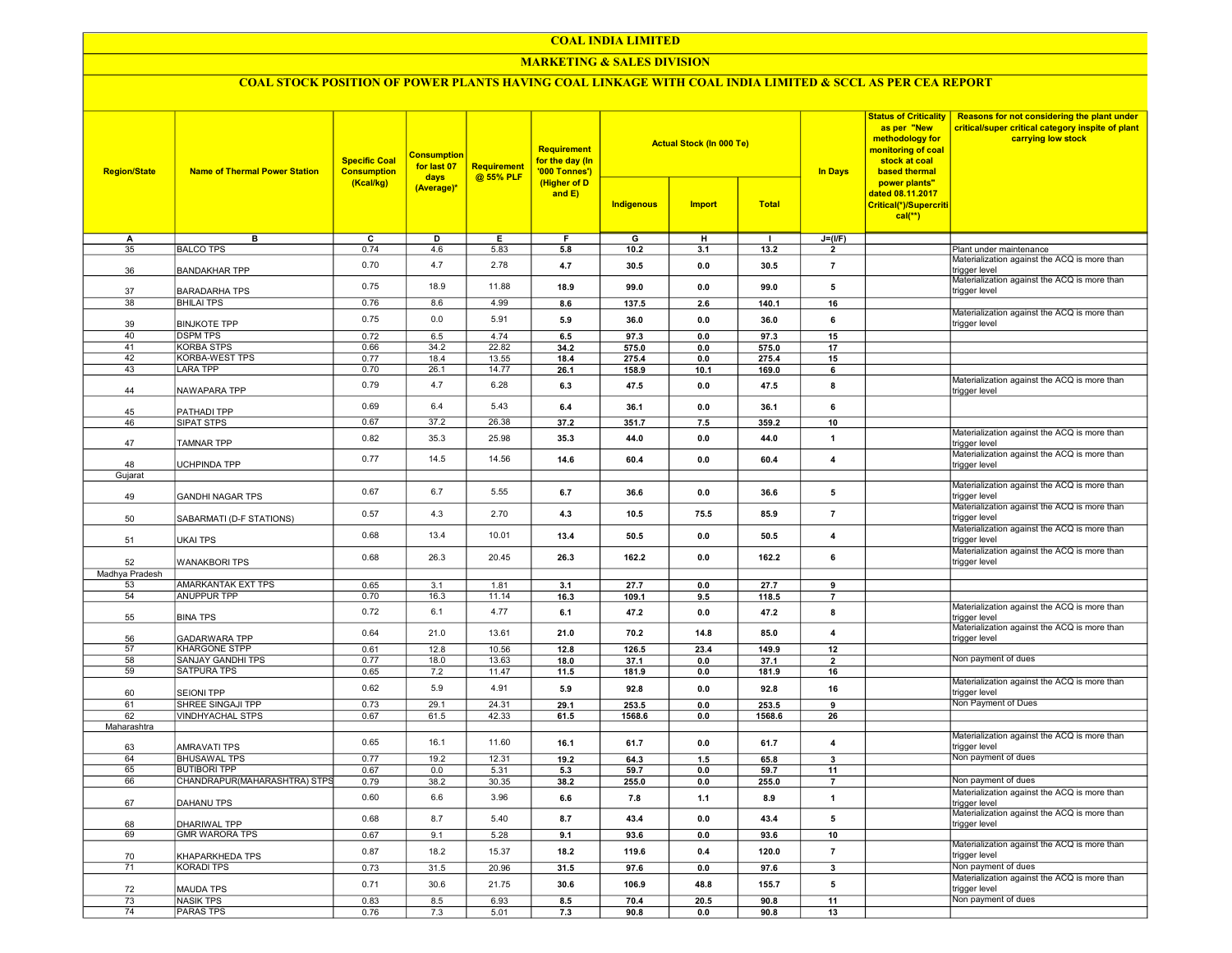#### COAL INDIA LIMITED

#### MARKETING & SALES DIVISION

### COAL STOCK POSITION OF POWER PLANTS HAVING COAL LINKAGE WITH COAL INDIA LIMITED & SCCL AS PER CEA REPORT

| <b>Region/State</b> | <b>Name of Thermal Power Station</b>       | <b>Specific Coal</b><br><b>Consumption</b><br>days<br>(Kcal/kg)<br>(Average)* | <b>Consumption</b><br>for last 07 | <b>Requirement</b> | Requirement<br>for the day (In<br>'000 Tonnes')<br>(Higher of D<br>and E) |                | <b>Actual Stock (In 000 Te)</b> |                | <b>In Days</b>                | <b>Status of Criticality</b><br>as per "New<br>methodology for<br>monitoring of coal<br>stock at coal<br>based thermal | Reasons for not considering the plant under<br>critical/super critical category inspite of plant<br>carrying low stock |
|---------------------|--------------------------------------------|-------------------------------------------------------------------------------|-----------------------------------|--------------------|---------------------------------------------------------------------------|----------------|---------------------------------|----------------|-------------------------------|------------------------------------------------------------------------------------------------------------------------|------------------------------------------------------------------------------------------------------------------------|
|                     |                                            |                                                                               |                                   | @ 55% PLF          |                                                                           | Indigenous     | <b>Import</b>                   | <b>Total</b>   |                               | power plants"<br>dated 08.11.2017<br>Critical(*)/Supercriti<br>$cal$ (**)                                              |                                                                                                                        |
| A                   | в                                          | ᢎ                                                                             | D                                 | Е.                 | F.                                                                        | G              | н                               | $\mathbf{I}$   | $J=(I/F)$                     |                                                                                                                        |                                                                                                                        |
| 35                  | <b>BALCO TPS</b>                           | 0.74                                                                          | 4.6                               | 5.83               | 5.8                                                                       | 10.2           | 3.1                             | 13.2           | $\overline{2}$                |                                                                                                                        | Plant under maintenance                                                                                                |
| 36                  | <b>BANDAKHAR TPP</b>                       | 0.70                                                                          | 4.7                               | 2.78               | 4.7                                                                       | 30.5           | 0.0                             | 30.5           | $\overline{7}$                |                                                                                                                        | Materialization against the ACQ is more than<br>trigger level                                                          |
| 37                  | <b>BARADARHA TPS</b>                       | 0.75                                                                          | 18.9                              | 11.88              | 18.9                                                                      | 99.0           | 0.0                             | 99.0           | 5                             |                                                                                                                        | Materialization against the ACQ is more than<br>trigger level                                                          |
| 38                  | <b>BHILAI TPS</b>                          | 0.76                                                                          | 8.6                               | 4.99               | 8.6                                                                       | 137.5          | 2.6                             | 140.1          | 16                            |                                                                                                                        | Materialization against the ACQ is more than                                                                           |
| 39                  | <b>BINJKOTE TPP</b>                        | 0.75                                                                          | 0.0                               | 5.91               | 5.9                                                                       | 36.0           | 0.0                             | 36.0           | 6                             |                                                                                                                        | trigger level                                                                                                          |
| 40<br>41            | <b>DSPM TPS</b>                            | 0.72                                                                          | 6.5                               | 4.74               | 6.5                                                                       | 97.3           | 0.0                             | 97.3           | 15                            |                                                                                                                        |                                                                                                                        |
| 42                  | <b>KORBA STPS</b><br><b>KORBA-WEST TPS</b> | 0.66<br>0.77                                                                  | 34.2                              | 22.82              | 34.2<br>18.4                                                              | 575.0<br>275.4 | 0.0<br>0.0                      | 575.0          | 17<br>15                      |                                                                                                                        |                                                                                                                        |
| 43                  | <b>LARA TPP</b>                            | 0.70                                                                          | 18.4<br>26.1                      | 13.55<br>14.77     | 26.1                                                                      |                | 10.1                            | 275.4<br>169.0 | 6                             |                                                                                                                        |                                                                                                                        |
|                     |                                            |                                                                               |                                   |                    |                                                                           | 158.9          |                                 |                |                               |                                                                                                                        | Materialization against the ACQ is more than                                                                           |
| 44                  | NAWAPARA TPP                               | 0.79                                                                          | 4.7                               | 6.28               | 6.3                                                                       | 47.5           | 0.0                             | 47.5           | 8                             |                                                                                                                        | trigger level                                                                                                          |
| 45                  | PATHADI TPP                                | 0.69                                                                          | 6.4                               | 5.43               | 6.4                                                                       | 36.1           | 0.0                             | 36.1           | 6                             |                                                                                                                        |                                                                                                                        |
| 46                  | SIPAT STPS                                 | 0.67                                                                          | 37.2                              | 26.38              | 37.2                                                                      | 351.7          | 7.5                             | 359.2          | 10                            |                                                                                                                        |                                                                                                                        |
| 47                  | <b>TAMNAR TPP</b>                          | 0.82                                                                          | 35.3                              | 25.98              | 35.3                                                                      | 44.0           | 0.0                             | 44.0           | $\mathbf{1}$                  |                                                                                                                        | Materialization against the ACQ is more than<br>trigger level                                                          |
|                     |                                            | 0.77                                                                          | 14.5                              | 14.56              | 14.6                                                                      | 60.4           | 0.0                             | 60.4           | $\overline{\mathbf{4}}$       |                                                                                                                        | Materialization against the ACQ is more than                                                                           |
| 48<br>Gujarat       | <b>UCHPINDA TPP</b>                        |                                                                               |                                   |                    |                                                                           |                |                                 |                |                               |                                                                                                                        | trigger level                                                                                                          |
|                     |                                            |                                                                               |                                   |                    |                                                                           |                |                                 |                |                               |                                                                                                                        | Materialization against the ACQ is more than                                                                           |
| 49                  | <b>GANDHI NAGAR TPS</b>                    | 0.67                                                                          | 6.7                               | 5.55               | 6.7                                                                       | 36.6           | 0.0                             | 36.6           | 5                             |                                                                                                                        | rigger level<br>Materialization against the ACQ is more than                                                           |
| 50                  | SABARMATI (D-F STATIONS)                   | 0.57                                                                          | 4.3                               | 2.70               | 4.3                                                                       | 10.5           | 75.5                            | 85.9           | $\overline{7}$                |                                                                                                                        | trigger level                                                                                                          |
| 51                  | <b>UKAI TPS</b>                            | 0.68                                                                          | 13.4                              | 10.01              | 13.4                                                                      | 50.5           | 0.0                             | 50.5           | $\overline{\mathbf{4}}$       |                                                                                                                        | Materialization against the ACQ is more than<br>trigger level                                                          |
| 52                  | <b>WANAKBORI TPS</b>                       | 0.68                                                                          | 26.3                              | 20.45              | 26.3                                                                      | 162.2          | 0.0                             | 162.2          | 6                             |                                                                                                                        | Materialization against the ACQ is more than<br>trigger level                                                          |
| Madhya Pradesh      |                                            |                                                                               |                                   |                    |                                                                           |                |                                 |                |                               |                                                                                                                        |                                                                                                                        |
| 53                  | AMARKANTAK EXT TPS                         | 0.65                                                                          | 3.1                               | 1.81               | 3.1                                                                       | 27.7           | 0.0                             | 27.7           | 9                             |                                                                                                                        |                                                                                                                        |
| 54                  | <b>ANUPPUR TPP</b>                         | 0.70                                                                          | 16.3                              | 11.14              | 16.3                                                                      | 109.1          | 9.5                             | 118.5          | $\overline{7}$                |                                                                                                                        |                                                                                                                        |
| 55                  | <b>BINA TPS</b>                            | 0.72                                                                          | 6.1                               | 4.77               | 6.1                                                                       | 47.2           | 0.0                             | 47.2           | 8                             |                                                                                                                        | Materialization against the ACQ is more than<br>trigger level                                                          |
| 56                  | <b>GADARWARA TPP</b>                       | 0.64                                                                          | 21.0                              | 13.61              | 21.0                                                                      | 70.2           | 14.8                            | 85.0           | $\overline{\mathbf{4}}$       |                                                                                                                        | Materialization against the ACQ is more than<br>trigger level                                                          |
| 57                  | <b>KHARGONE STPP</b>                       | 0.61                                                                          | 12.8                              | 10.56              | 12.8                                                                      | 126.5          | 23.4                            | 149.9          | 12                            |                                                                                                                        |                                                                                                                        |
| 58                  | <b>SANJAY GANDHI TPS</b>                   | 0.77                                                                          | 18.0                              | 13.63              | 18.0                                                                      | 37.1           | 0.0                             | 37.1           | $\overline{2}$                |                                                                                                                        | Non payment of dues                                                                                                    |
| 59                  | <b>SATPURA TPS</b>                         | 0.65                                                                          | 7.2                               | 11.47              | 11.5                                                                      | 181.9          | 0.0                             | 181.9          | 16                            |                                                                                                                        |                                                                                                                        |
| 60                  | <b>SEIONI TPP</b>                          | 0.62                                                                          | 5.9                               | 4.91               | 5.9                                                                       | 92.8           | 0.0                             | 92.8           | 16                            |                                                                                                                        | Materialization against the ACQ is more than<br>trigger level                                                          |
| 61                  | SHREE SINGAJI TPP                          | 0.73                                                                          | 29.1                              | 24.31              | 29.1                                                                      | 253.5          | 0.0                             | 253.5          | 9                             |                                                                                                                        | Non Payment of Dues                                                                                                    |
| 62                  | <b>VINDHYACHAL STPS</b>                    | 0.67                                                                          | 61.5                              | 42.33              | 61.5                                                                      | 1568.6         | 0.0                             | 1568.6         | 26                            |                                                                                                                        |                                                                                                                        |
| Maharashtra         |                                            | 0.65                                                                          | 16.1                              | 11.60              | 16.1                                                                      | 61.7           | 0.0                             | 61.7           | $\overline{4}$                |                                                                                                                        | Materialization against the ACQ is more than                                                                           |
| 63                  | <b>AMRAVATI TPS</b>                        |                                                                               |                                   |                    |                                                                           |                |                                 |                |                               |                                                                                                                        | trigger level                                                                                                          |
| 64<br>65            | <b>BHUSAWAL TPS</b><br><b>BUTIBORI TPP</b> | 0.77<br>0.67                                                                  | 19.2<br>0.0                       | 12.31<br>5.31      | 19.2<br>5.3                                                               | 64.3<br>59.7   | 1.5<br>0.0                      | 65.8<br>59.7   | $\overline{\mathbf{3}}$<br>11 |                                                                                                                        | Non payment of dues                                                                                                    |
| 66                  | CHANDRAPUR(MAHARASHTRA) STPS               | 0.79                                                                          | 38.2                              | 30.35              | 38.2                                                                      | 255.0          | 0.0                             | 255.0          | $\overline{7}$                |                                                                                                                        | Non payment of dues                                                                                                    |
|                     |                                            |                                                                               |                                   |                    |                                                                           |                |                                 |                |                               |                                                                                                                        | Materialization against the ACQ is more than                                                                           |
| 67                  | DAHANU TPS                                 | 0.60                                                                          | 6.6                               | 3.96               | 6.6                                                                       | 7.8            | $1.1$                           | 8.9            | $\overline{1}$                |                                                                                                                        | trigger level<br>Materialization against the ACQ is more than                                                          |
| 68                  | DHARIWAL TPP                               | 0.68                                                                          | 8.7                               | 5.40               | 8.7                                                                       | 43.4           | 0.0                             | 43.4           | 5                             |                                                                                                                        | trigger level                                                                                                          |
| 69                  | <b>GMR WARORA TPS</b>                      | 0.67                                                                          | 9.1                               | 5.28               | 9.1                                                                       | 93.6           | 0.0                             | 93.6           | 10                            |                                                                                                                        | Materialization against the ACQ is more than                                                                           |
| 70                  | KHAPARKHEDA TPS                            | 0.87                                                                          | 18.2                              | 15.37              | 18.2                                                                      | 119.6          | 0.4                             | 120.0          | $\overline{7}$                |                                                                                                                        | trigger level                                                                                                          |
| 71                  | <b>KORADI TPS</b>                          | 0.73                                                                          | 31.5                              | 20.96              | 31.5                                                                      | 97.6           | 0.0                             | 97.6           | $\overline{\mathbf{3}}$       |                                                                                                                        | Non payment of dues<br>Materialization against the ACQ is more than                                                    |
| 72                  | <b>MAUDA TPS</b>                           | 0.71                                                                          | 30.6                              | 21.75              | 30.6                                                                      | 106.9          | 48.8                            | 155.7          | 5                             |                                                                                                                        | trigger level                                                                                                          |
| 73                  | <b>NASIK TPS</b>                           | 0.83                                                                          | 8.5                               | 6.93               | 8.5                                                                       | 70.4           | 20.5                            | 90.8           | 11                            |                                                                                                                        | Non payment of dues                                                                                                    |
| 74                  | <b>PARAS TPS</b>                           | 0.76                                                                          | 7.3                               | 5.01               | 7.3                                                                       | 90.8           | 0.0                             | 90.8           | 13                            |                                                                                                                        |                                                                                                                        |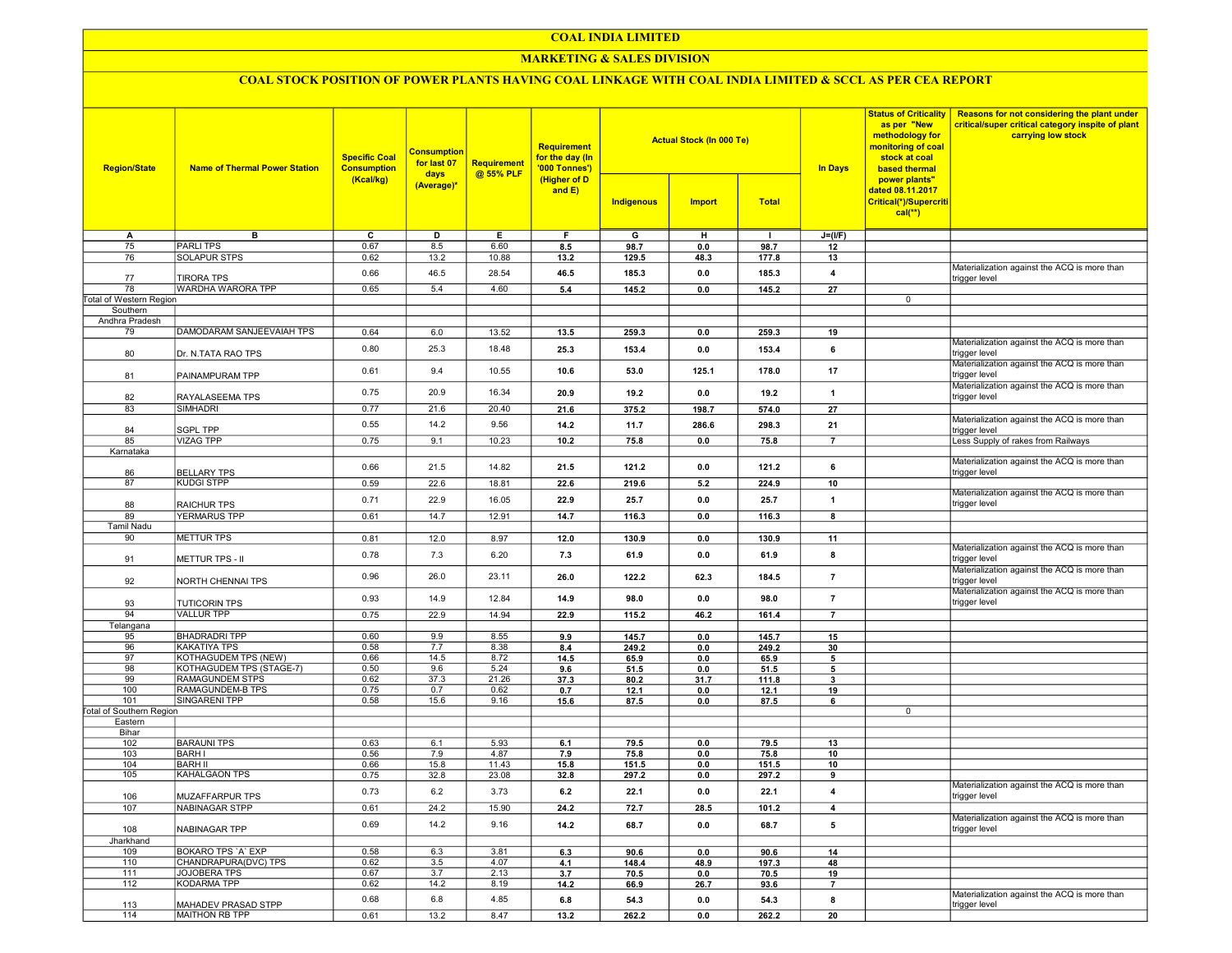### COAL INDIA LIMITED

### **MARKETING & SALES DIVISION**

# COAL STOCK POSITION OF POWER PLANTS HAVING COAL LINKAGE WITH COAL INDIA LIMITED & SCCL AS PER CEA REPORT

| <b>Region/State</b>             | <b>Name of Thermal Power Station</b> | <b>Specific Coal</b><br><b>Consumption</b> | <b>Consumption</b><br>for last 07<br>days<br>(Average)* | <b>Requirement</b><br>@ 55% PLF | <b>Requirement</b><br>for the day (In<br>'000 Tonnes')<br>(Higher of D<br>and $E$ ) |            | <b>Actual Stock (In 000 Te)</b> |              | <b>In Days</b>          | <b>Status of Criticality</b><br>as per "New<br>methodology for<br>monitoring of coal<br>stock at coal<br>based thermal<br>power plants"<br>dated 08.11.2017<br>Critical(*)/Supercriti<br>$cal(**)$ | Reasons for not considering the plant under<br>critical/super critical category inspite of plant<br>carrying low stock |
|---------------------------------|--------------------------------------|--------------------------------------------|---------------------------------------------------------|---------------------------------|-------------------------------------------------------------------------------------|------------|---------------------------------|--------------|-------------------------|----------------------------------------------------------------------------------------------------------------------------------------------------------------------------------------------------|------------------------------------------------------------------------------------------------------------------------|
|                                 |                                      | (Kcal/kg)                                  |                                                         |                                 |                                                                                     | Indigenous | <b>Import</b>                   | <b>Total</b> |                         |                                                                                                                                                                                                    |                                                                                                                        |
| A                               | в                                    | C                                          | D                                                       | Е.                              | F.                                                                                  | G          | н                               | $\mathbf{I}$ | $J=(I/F)$               |                                                                                                                                                                                                    |                                                                                                                        |
| 75                              | <b>PARLITPS</b>                      | 0.67                                       | 8.5                                                     | 6.60                            | 8.5                                                                                 | 98.7       | 0.0                             | 98.7         | 12                      |                                                                                                                                                                                                    |                                                                                                                        |
| 76                              | <b>SOLAPUR STPS</b>                  | 0.62                                       | 13.2                                                    | 10.88                           | 13.2                                                                                | 129.5      | 48.3                            | 177.8        | 13                      |                                                                                                                                                                                                    |                                                                                                                        |
| 77                              | <b>TIRORA TPS</b>                    | 0.66                                       | 46.5                                                    | 28.54                           | 46.5                                                                                | 185.3      | 0.0                             | 185.3        | 4                       |                                                                                                                                                                                                    | Materialization against the ACQ is more than<br>trigger level                                                          |
| 78                              | WARDHA WARORA TPP                    | 0.65                                       | 5.4                                                     | 4.60                            | 5.4                                                                                 | 145.2      | 0.0                             | 145.2        | 27                      |                                                                                                                                                                                                    |                                                                                                                        |
| Total of Western Region         |                                      |                                            |                                                         |                                 |                                                                                     |            |                                 |              |                         | 0                                                                                                                                                                                                  |                                                                                                                        |
| Southern                        |                                      |                                            |                                                         |                                 |                                                                                     |            |                                 |              |                         |                                                                                                                                                                                                    |                                                                                                                        |
| Andhra Pradesh                  |                                      |                                            |                                                         |                                 |                                                                                     |            |                                 |              |                         |                                                                                                                                                                                                    |                                                                                                                        |
| 79                              | DAMODARAM SANJEEVAIAH TPS            | 0.64                                       | 6.0                                                     | 13.52                           |                                                                                     | 259.3      |                                 | 259.3        | 19                      |                                                                                                                                                                                                    |                                                                                                                        |
|                                 |                                      |                                            |                                                         |                                 | 13.5                                                                                |            | 0.0                             |              |                         |                                                                                                                                                                                                    | Materialization against the ACQ is more than                                                                           |
| 80                              | Dr. N.TATA RAO TPS                   | 0.80                                       | 25.3                                                    | 18.48                           | 25.3                                                                                | 153.4      | 0.0                             | 153.4        | 6                       |                                                                                                                                                                                                    | trigger level                                                                                                          |
| 81                              | PAINAMPURAM TPP                      | 0.61                                       | 9.4                                                     | 10.55                           | 10.6                                                                                | 53.0       | 125.1                           | 178.0        | 17                      |                                                                                                                                                                                                    | Materialization against the ACQ is more than<br>trigger level                                                          |
| 82                              | RAYALASEEMA TPS                      | 0.75                                       | 20.9                                                    | 16.34                           | 20.9                                                                                | 19.2       | 0.0                             | 19.2         | $\overline{\mathbf{1}}$ |                                                                                                                                                                                                    | Materialization against the ACQ is more than<br>trigger level                                                          |
| 83                              | <b>SIMHADRI</b>                      | 0.77                                       | 21.6                                                    | 20.40                           | 21.6                                                                                | 375.2      | 198.7                           | 574.0        | 27                      |                                                                                                                                                                                                    |                                                                                                                        |
|                                 |                                      |                                            |                                                         |                                 |                                                                                     |            |                                 |              |                         |                                                                                                                                                                                                    | Materialization against the ACQ is more than                                                                           |
| 84                              | <b>SGPL TPP</b>                      | 0.55                                       | 14.2                                                    | 9.56                            | 14.2                                                                                | 11.7       | 286.6                           | 298.3        | 21                      |                                                                                                                                                                                                    | trigger level                                                                                                          |
| 85                              | <b>VIZAG TPP</b>                     | 0.75                                       | 9.1                                                     | 10.23                           | 10.2                                                                                | 75.8       | 0.0                             | 75.8         | $\overline{7}$          |                                                                                                                                                                                                    | Less Supply of rakes from Railways                                                                                     |
| Karnataka                       |                                      |                                            |                                                         |                                 |                                                                                     |            |                                 |              |                         |                                                                                                                                                                                                    |                                                                                                                        |
| 86                              | <b>BELLARY TPS</b>                   | 0.66                                       | 21.5                                                    | 14.82                           | 21.5                                                                                | 121.2      | 0.0                             | 121.2        | 6                       |                                                                                                                                                                                                    | Materialization against the ACQ is more than<br>trigger level                                                          |
| 87                              | <b>KUDGI STPP</b>                    | 0.59                                       | 22.6                                                    | 18.81                           | 22.6                                                                                | 219.6      | 5.2                             | 224.9        | 10                      |                                                                                                                                                                                                    |                                                                                                                        |
|                                 |                                      |                                            |                                                         |                                 |                                                                                     |            |                                 |              |                         |                                                                                                                                                                                                    | Materialization against the ACQ is more than                                                                           |
| 88                              | <b>RAICHUR TPS</b>                   | 0.71                                       | 22.9                                                    | 16.05                           | 22.9                                                                                | 25.7       | 0.0                             | 25.7         | $\overline{1}$          |                                                                                                                                                                                                    | trigger level                                                                                                          |
| 89                              | <b>YERMARUS TPP</b>                  | 0.61                                       | 14.7                                                    | 12.91                           | 14.7                                                                                | 116.3      | 0.0                             | 116.3        | 8                       |                                                                                                                                                                                                    |                                                                                                                        |
| <b>Tamil Nadu</b>               |                                      |                                            |                                                         |                                 |                                                                                     |            |                                 |              |                         |                                                                                                                                                                                                    |                                                                                                                        |
| 90                              | <b>METTUR TPS</b>                    |                                            |                                                         |                                 |                                                                                     |            |                                 |              |                         |                                                                                                                                                                                                    |                                                                                                                        |
|                                 |                                      | 0.81                                       | 12.0                                                    | 8.97                            | 12.0                                                                                | 130.9      | 0.0                             | 130.9        | 11                      |                                                                                                                                                                                                    | Materialization against the ACQ is more than                                                                           |
| 91                              | <b>METTUR TPS - II</b>               | 0.78                                       | 7.3                                                     | 6.20                            | 7.3                                                                                 | 61.9       | 0.0                             | 61.9         | 8                       |                                                                                                                                                                                                    | trigger level                                                                                                          |
| 92                              | NORTH CHENNAI TPS                    | 0.96                                       | 26.0                                                    | 23.11                           | 26.0                                                                                | 122.2      | 62.3                            | 184.5        | $\overline{7}$          |                                                                                                                                                                                                    | Materialization against the ACQ is more than<br>trigger level                                                          |
| 93                              | <b>TUTICORIN TPS</b>                 | 0.93                                       | 14.9                                                    | 12.84                           | 14.9                                                                                | 98.0       | 0.0                             | 98.0         | $\overline{7}$          |                                                                                                                                                                                                    | Materialization against the ACQ is more than<br>trigger level                                                          |
| 94                              | <b>VALLUR TPP</b>                    | 0.75                                       | 22.9                                                    | 14.94                           | 22.9                                                                                | 115.2      | 46.2                            | 161.4        | $\overline{7}$          |                                                                                                                                                                                                    |                                                                                                                        |
| Telangana                       |                                      |                                            |                                                         |                                 |                                                                                     |            |                                 |              |                         |                                                                                                                                                                                                    |                                                                                                                        |
| 95                              | <b>BHADRADRI TPP</b>                 | 0.60                                       | 9.9                                                     | 8.55                            | 9.9                                                                                 | 145.7      | 0.0                             | 145.7        | 15                      |                                                                                                                                                                                                    |                                                                                                                        |
| 96                              | <b>KAKATIYA TPS</b>                  | 0.58                                       | 7.7                                                     | 8.38                            | 8.4                                                                                 | 249.2      | 0.0                             | 249.2        | 30                      |                                                                                                                                                                                                    |                                                                                                                        |
| 97                              | KOTHAGUDEM TPS (NEW)                 | 0.66                                       | 14.5                                                    | 8.72                            | 14.5                                                                                | 65.9       | 0.0                             | 65.9         | 5                       |                                                                                                                                                                                                    |                                                                                                                        |
| 98                              | KOTHAGUDEM TPS (STAGE-7)             | 0.50                                       | 9.6                                                     | 5.24                            | 9.6                                                                                 | 51.5       | 0.0                             | 51.5         | 5                       |                                                                                                                                                                                                    |                                                                                                                        |
| 99                              | RAMAGUNDEM STPS                      | 0.62                                       | 37.3                                                    | 21.26                           | 37.3                                                                                | 80.2       | 31.7                            | 111.8        | 3                       |                                                                                                                                                                                                    |                                                                                                                        |
| 100                             | RAMAGUNDEM-B TPS                     | 0.75                                       | 0.7                                                     | 0.62                            | 0.7                                                                                 | 12.1       | 0.0                             | 12.1         | 19                      |                                                                                                                                                                                                    |                                                                                                                        |
| 101                             | SINGARENI TPP                        | 0.58                                       | 15.6                                                    | 9.16                            | 15.6                                                                                | 87.5       | 0.0                             | 87.5         | 6                       |                                                                                                                                                                                                    |                                                                                                                        |
| <b>Total of Southern Region</b> |                                      |                                            |                                                         |                                 |                                                                                     |            |                                 |              |                         | 0                                                                                                                                                                                                  |                                                                                                                        |
| Eastern                         |                                      |                                            |                                                         |                                 |                                                                                     |            |                                 |              |                         |                                                                                                                                                                                                    |                                                                                                                        |
| Bihar                           |                                      |                                            |                                                         |                                 |                                                                                     |            |                                 |              |                         |                                                                                                                                                                                                    |                                                                                                                        |
| 102                             | <b>BARAUNI TPS</b>                   | 0.63                                       | 6.1                                                     | 5.93                            | 6.1                                                                                 | 79.5       | 0.0                             | 79.5         | 13                      |                                                                                                                                                                                                    |                                                                                                                        |
| 103                             | <b>BARH I</b>                        | 0.56                                       | 7.9                                                     | 4.87                            | 7.9                                                                                 | 75.8       | 0.0                             | 75.8         | 10                      |                                                                                                                                                                                                    |                                                                                                                        |
| 104                             | <b>BARH II</b>                       | 0.66                                       | 15.8                                                    | 11.43                           | 15.8                                                                                | 151.5      | 0.0                             | 151.5        | 10                      |                                                                                                                                                                                                    |                                                                                                                        |
| 105                             | KAHALGAON TPS                        | 0.75                                       | 32.8                                                    | 23.08                           | 32.8                                                                                | 297.2      | 0.0                             | 297.2        | 9                       |                                                                                                                                                                                                    |                                                                                                                        |
| 106                             | <b>MUZAFFARPUR TPS</b>               | 0.73                                       | 6.2                                                     | 3.73                            | 6.2                                                                                 | 22.1       | 0.0                             | 22.1         | 4                       |                                                                                                                                                                                                    | Materialization against the ACQ is more than<br>trigger level                                                          |
| 107                             | NABINAGAR STPP                       | 0.61                                       | 24.2                                                    | 15.90                           | 24.2                                                                                | 72.7       | 28.5                            | 101.2        | 4                       |                                                                                                                                                                                                    |                                                                                                                        |
| 108                             | NABINAGAR TPP                        | 0.69                                       | 14.2                                                    | 9.16                            | 14.2                                                                                | 68.7       | 0.0                             | 68.7         | 5                       |                                                                                                                                                                                                    | Materialization against the ACQ is more than<br>trigger level                                                          |
| Jharkhand                       |                                      |                                            |                                                         |                                 |                                                                                     |            |                                 |              |                         |                                                                                                                                                                                                    |                                                                                                                        |
| 109                             | BOKARO TPS 'A' EXP                   | 0.58                                       | 6.3                                                     | 3.81                            | 6.3                                                                                 | 90.6       | 0.0                             | 90.6         | 14                      |                                                                                                                                                                                                    |                                                                                                                        |
| 110                             | CHANDRAPURA(DVC) TPS                 | 0.62                                       | 3.5                                                     | 4.07                            | 4.1                                                                                 | 148.4      | 48.9                            | 197.3        | 48                      |                                                                                                                                                                                                    |                                                                                                                        |
| 111                             | JOJOBERA TPS                         | 0.67                                       | 3.7                                                     | 2.13                            | 3.7                                                                                 | 70.5       | 0.0                             | 70.5         | 19                      |                                                                                                                                                                                                    |                                                                                                                        |
| 112                             | <b>KODARMA TPP</b>                   | 0.62                                       | 14.2                                                    | 8.19                            | 14.2                                                                                |            |                                 |              | $\overline{7}$          |                                                                                                                                                                                                    |                                                                                                                        |
|                                 |                                      |                                            |                                                         |                                 |                                                                                     | 66.9       | 26.7                            | 93.6         |                         |                                                                                                                                                                                                    | Materialization against the ACQ is more than                                                                           |
| 113                             | MAHADEV PRASAD STPP                  | 0.68                                       | 6.8                                                     | 4.85                            | $6.8\,$                                                                             | 54.3       | 0.0                             | 54.3         | 8                       |                                                                                                                                                                                                    | trigger level                                                                                                          |
| 114                             | <b>MAITHON RB TPP</b>                | 0.61                                       | 13.2                                                    | 8.47                            | 13.2                                                                                | 262.2      | 0.0                             | 262.2        | 20                      |                                                                                                                                                                                                    |                                                                                                                        |